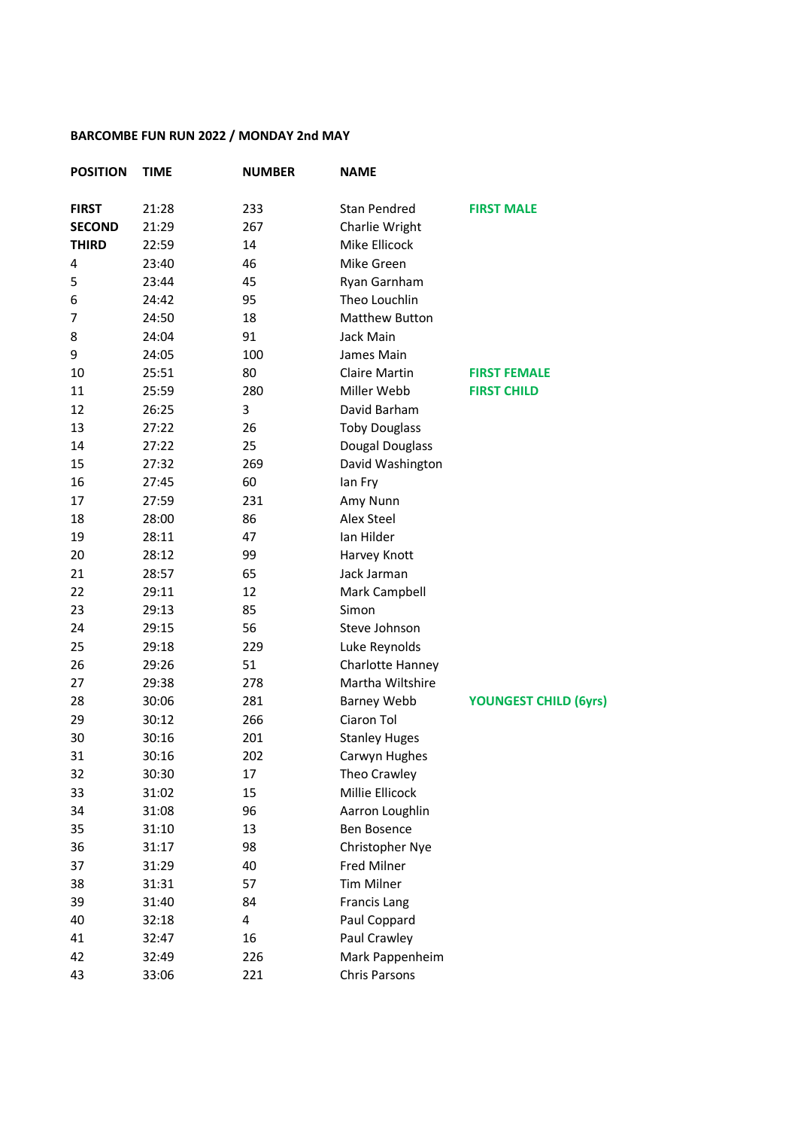## **BARCOMBE FUN RUN 2022 / MONDAY 2nd MAY**

| <b>POSITION</b> | <b>TIME</b> | <b>NUMBER</b> | <b>NAME</b>          |                              |
|-----------------|-------------|---------------|----------------------|------------------------------|
| <b>FIRST</b>    | 21:28       | 233           | <b>Stan Pendred</b>  | <b>FIRST MALE</b>            |
| <b>SECOND</b>   | 21:29       | 267           | Charlie Wright       |                              |
| <b>THIRD</b>    | 22:59       | 14            | Mike Ellicock        |                              |
| 4               | 23:40       | 46            | Mike Green           |                              |
| 5               | 23:44       | 45            | Ryan Garnham         |                              |
| 6               | 24:42       | 95            | Theo Louchlin        |                              |
| 7               | 24:50       | 18            | Matthew Button       |                              |
| 8               | 24:04       | 91            | Jack Main            |                              |
| 9               | 24:05       | 100           | James Main           |                              |
| 10              | 25:51       | 80            | Claire Martin        | <b>FIRST FEMALE</b>          |
| 11              | 25:59       | 280           | Miller Webb          | <b>FIRST CHILD</b>           |
| 12              | 26:25       | 3             | David Barham         |                              |
| 13              | 27:22       | 26            | <b>Toby Douglass</b> |                              |
| 14              | 27:22       | 25            | Dougal Douglass      |                              |
| 15              | 27:32       | 269           | David Washington     |                              |
| 16              | 27:45       | 60            | lan Fry              |                              |
| 17              | 27:59       | 231           | Amy Nunn             |                              |
| 18              | 28:00       | 86            | Alex Steel           |                              |
| 19              | 28:11       | 47            | Ian Hilder           |                              |
| 20              | 28:12       | 99            | Harvey Knott         |                              |
| 21              | 28:57       | 65            | Jack Jarman          |                              |
| 22              | 29:11       | 12            | Mark Campbell        |                              |
| 23              | 29:13       | 85            | Simon                |                              |
| 24              | 29:15       | 56            | Steve Johnson        |                              |
| 25              | 29:18       | 229           | Luke Reynolds        |                              |
| 26              | 29:26       | 51            | Charlotte Hanney     |                              |
| 27              | 29:38       | 278           | Martha Wiltshire     |                              |
| 28              | 30:06       | 281           | <b>Barney Webb</b>   | <b>YOUNGEST CHILD (6yrs)</b> |
| 29              | 30:12       | 266           | Ciaron Tol           |                              |
| 30              | 30:16       | 201           | <b>Stanley Huges</b> |                              |
| 31              | 30:16       | 202           | Carwyn Hughes        |                              |
| 32              | 30:30       | 17            | Theo Crawley         |                              |
| 33              | 31:02       | 15            | Millie Ellicock      |                              |
| 34              | 31:08       | 96            | Aarron Loughlin      |                              |
| 35              | 31:10       | 13            | Ben Bosence          |                              |
| 36              | 31:17       | 98            | Christopher Nye      |                              |
| 37              | 31:29       | 40            | <b>Fred Milner</b>   |                              |
| 38              | 31:31       | 57            | <b>Tim Milner</b>    |                              |
| 39              | 31:40       | 84            | <b>Francis Lang</b>  |                              |
| 40              | 32:18       | 4             | Paul Coppard         |                              |
| 41              | 32:47       | 16            | Paul Crawley         |                              |
| 42              | 32:49       | 226           | Mark Pappenheim      |                              |
| 43              | 33:06       | 221           | <b>Chris Parsons</b> |                              |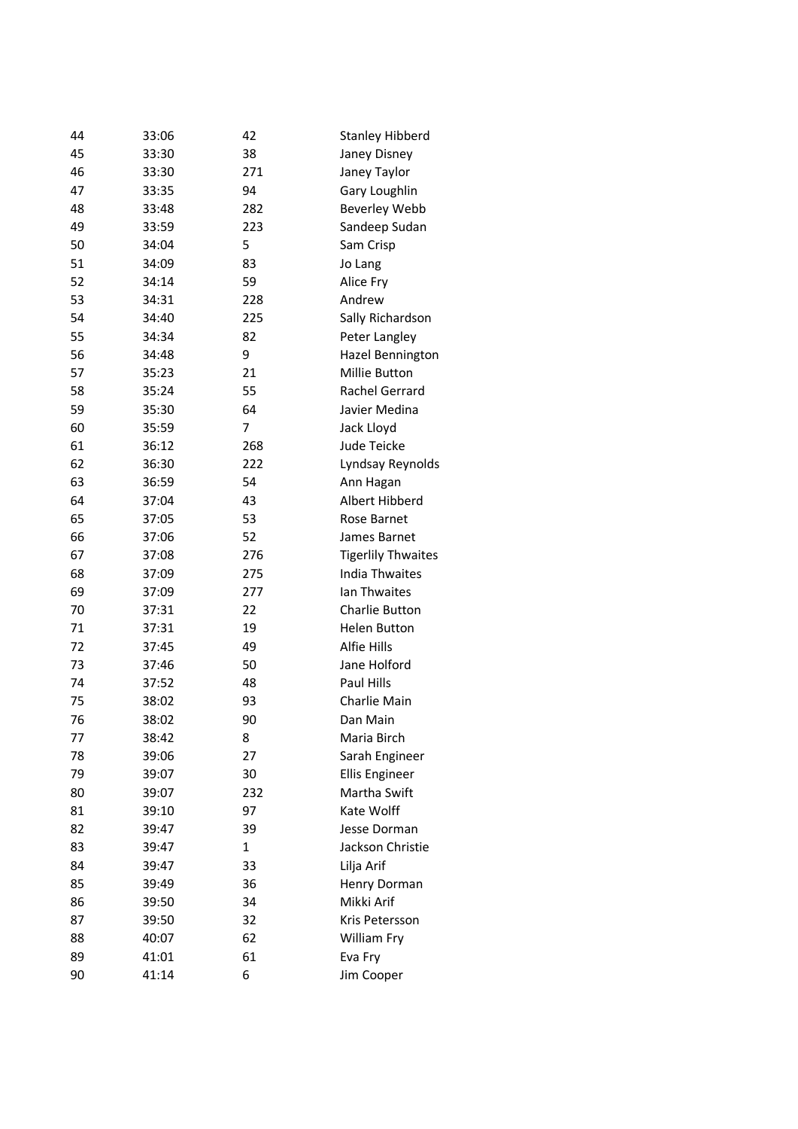| 44 | 33:06 | 42  | <b>Stanley Hibberd</b>    |
|----|-------|-----|---------------------------|
| 45 | 33:30 | 38  | Janey Disney              |
| 46 | 33:30 | 271 | Janey Taylor              |
| 47 | 33:35 | 94  | Gary Loughlin             |
| 48 | 33:48 | 282 | Beverley Webb             |
| 49 | 33:59 | 223 | Sandeep Sudan             |
| 50 | 34:04 | 5   | Sam Crisp                 |
| 51 | 34:09 | 83  | Jo Lang                   |
| 52 | 34:14 | 59  | Alice Fry                 |
| 53 | 34:31 | 228 | Andrew                    |
| 54 | 34:40 | 225 | Sally Richardson          |
| 55 | 34:34 | 82  | Peter Langley             |
| 56 | 34:48 | 9   | Hazel Bennington          |
| 57 | 35:23 | 21  | Millie Button             |
| 58 | 35:24 | 55  | Rachel Gerrard            |
| 59 | 35:30 | 64  | Javier Medina             |
| 60 | 35:59 | 7   | Jack Lloyd                |
| 61 | 36:12 | 268 | Jude Teicke               |
| 62 | 36:30 | 222 | Lyndsay Reynolds          |
| 63 | 36:59 | 54  | Ann Hagan                 |
| 64 | 37:04 | 43  | Albert Hibberd            |
| 65 | 37:05 | 53  | Rose Barnet               |
| 66 | 37:06 | 52  | James Barnet              |
| 67 | 37:08 | 276 | <b>Tigerlily Thwaites</b> |
| 68 | 37:09 | 275 | <b>India Thwaites</b>     |
| 69 | 37:09 | 277 | lan Thwaites              |
| 70 | 37:31 | 22  | Charlie Button            |
| 71 | 37:31 | 19  | <b>Helen Button</b>       |
| 72 | 37:45 | 49  | Alfie Hills               |
| 73 | 37:46 | 50  | Jane Holford              |
| 74 | 37:52 | 48  | Paul Hills                |
| 75 | 38:02 | 93  | Charlie Main              |
| 76 | 38:02 | 90  | Dan Main                  |
| 77 | 38:42 | 8   | Maria Birch               |
| 78 | 39:06 | 27  | Sarah Engineer            |
| 79 | 39:07 | 30  | <b>Ellis Engineer</b>     |
| 80 | 39:07 | 232 | Martha Swift              |
| 81 | 39:10 | 97  | Kate Wolff                |
| 82 | 39:47 | 39  | Jesse Dorman              |
| 83 | 39:47 | 1   | Jackson Christie          |
| 84 | 39:47 | 33  | Lilja Arif                |
| 85 | 39:49 | 36  | Henry Dorman              |
| 86 | 39:50 | 34  | Mikki Arif                |
| 87 | 39:50 | 32  | Kris Petersson            |
| 88 | 40:07 | 62  | William Fry               |
| 89 | 41:01 | 61  | Eva Fry                   |
| 90 | 41:14 | 6   | Jim Cooper                |